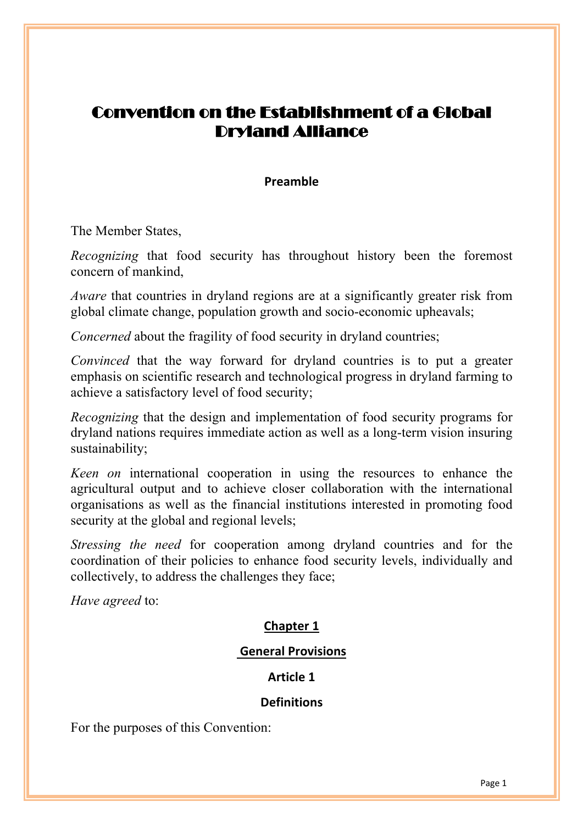# Convention on the Establishment of a Global Dryland Alliance

## **Preamble**

The Member States,

*Recognizing* that food security has throughout history been the foremost concern of mankind,

*Aware* that countries in dryland regions are at a significantly greater risk from global climate change, population growth and socio-economic upheavals;

*Concerned* about the fragility of food security in dryland countries;

*Convinced* that the way forward for dryland countries is to put a greater emphasis on scientific research and technological progress in dryland farming to achieve a satisfactory level of food security;

*Recognizing* that the design and implementation of food security programs for dryland nations requires immediate action as well as a long-term vision insuring sustainability;

*Keen on* international cooperation in using the resources to enhance the agricultural output and to achieve closer collaboration with the international organisations as well as the financial institutions interested in promoting food security at the global and regional levels;

*Stressing the need* for cooperation among dryland countries and for the coordination of their policies to enhance food security levels, individually and collectively, to address the challenges they face;

*Have agreed* to:

## **Chapter 1**

## **General Provisions**

## **Article 1**

## **Definitions**

For the purposes of this Convention: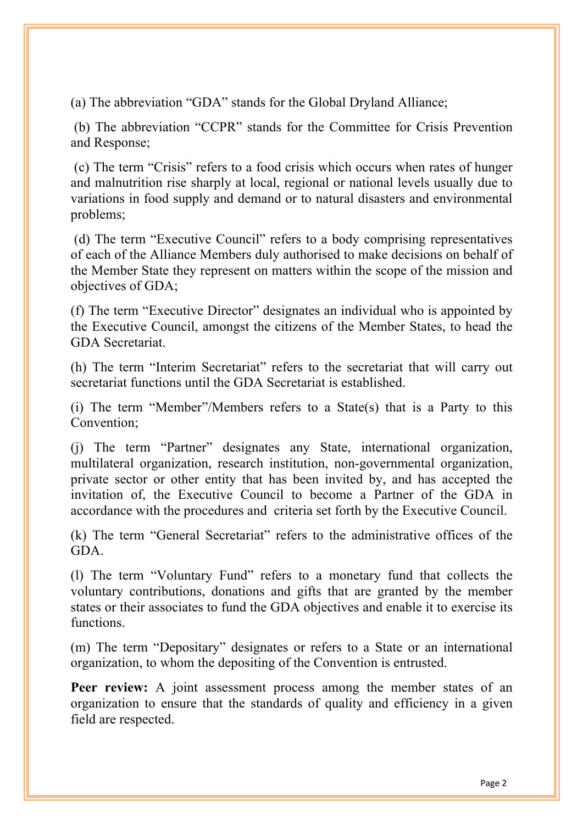(a) The abbreviation "GDA" stands for the Global Dryland Alliance;

(b) The abbreviation "CCPR" stands for the Committee for Crisis Prevention and Response;

(c) The term "Crisis" refers to a food crisis which occurs when rates of hunger and malnutrition rise sharply at local, regional or national levels usually due to variations in food supply and demand or to natural disasters and environmental problems;

(d) The term "Executive Council" refers to a body comprising representatives of each of the Alliance Members duly authorised to make decisions on behalf of the Member State they represent on matters within the scope of the mission and objectives of GDA;

(f) The term "Executive Director" designates an individual who is appointed by the Executive Council, amongst the citizens of the Member States, to head the GDA Secretariat.

(h) The term "Interim Secretariat" refers to the secretariat that will carry out secretariat functions until the GDA Secretariat is established.

(i) The term "Member"/Members refers to a State(s) that is a Party to this Convention;

(j) The term "Partner" designates any State, international organization, multilateral organization, research institution, non-governmental organization, private sector or other entity that has been invited by, and has accepted the invitation of, the Executive Council to become a Partner of the GDA in accordance with the procedures and criteria set forth by the Executive Council.

(k) The term "General Secretariat" refers to the administrative offices of the GDA.

(l) The term "Voluntary Fund" refers to a monetary fund that collects the voluntary contributions, donations and gifts that are granted by the member states or their associates to fund the GDA objectives and enable it to exercise its functions.

(m) The term "Depositary" designates or refers to a State or an international organization, to whom the depositing of the Convention is entrusted.

**Peer review:** A joint assessment process among the member states of an organization to ensure that the standards of quality and efficiency in a given field are respected.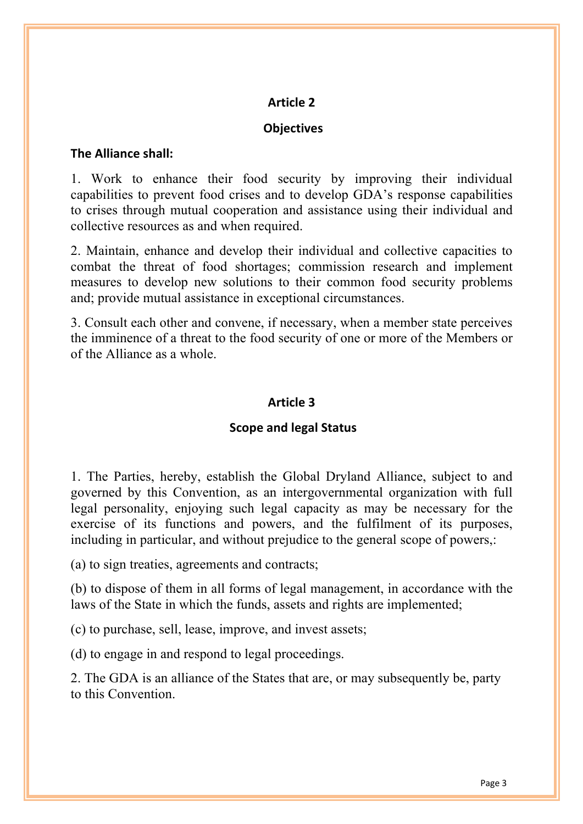## **Objectives**

#### **The Alliance shall:**

1. Work to enhance their food security by improving their individual capabilities to prevent food crises and to develop GDA's response capabilities to crises through mutual cooperation and assistance using their individual and collective resources as and when required.

2. Maintain, enhance and develop their individual and collective capacities to combat the threat of food shortages; commission research and implement measures to develop new solutions to their common food security problems and; provide mutual assistance in exceptional circumstances.

3. Consult each other and convene, if necessary, when a member state perceives the imminence of a threat to the food security of one or more of the Members or of the Alliance as a whole.

## **Article 3**

## **Scope and legal Status**

1. The Parties, hereby, establish the Global Dryland Alliance, subject to and governed by this Convention, as an intergovernmental organization with full legal personality, enjoying such legal capacity as may be necessary for the exercise of its functions and powers, and the fulfilment of its purposes, including in particular, and without prejudice to the general scope of powers,:

(a) to sign treaties, agreements and contracts;

(b) to dispose of them in all forms of legal management, in accordance with the laws of the State in which the funds, assets and rights are implemented;

(c) to purchase, sell, lease, improve, and invest assets;

(d) to engage in and respond to legal proceedings.

2. The GDA is an alliance of the States that are, or may subsequently be, party to this Convention.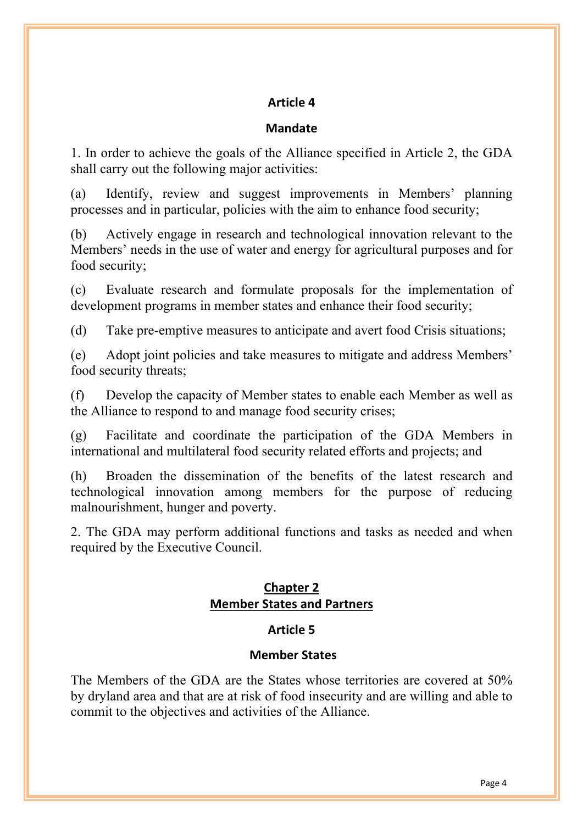## **Mandate**

1. In order to achieve the goals of the Alliance specified in Article 2, the GDA shall carry out the following major activities:

(a) Identify, review and suggest improvements in Members' planning processes and in particular, policies with the aim to enhance food security;

(b) Actively engage in research and technological innovation relevant to the Members' needs in the use of water and energy for agricultural purposes and for food security;

(c) Evaluate research and formulate proposals for the implementation of development programs in member states and enhance their food security;

(d) Take pre-emptive measures to anticipate and avert food Crisis situations;

(e) Adopt joint policies and take measures to mitigate and address Members' food security threats;

(f) Develop the capacity of Member states to enable each Member as well as the Alliance to respond to and manage food security crises;

(g) Facilitate and coordinate the participation of the GDA Members in international and multilateral food security related efforts and projects; and

(h) Broaden the dissemination of the benefits of the latest research and technological innovation among members for the purpose of reducing malnourishment, hunger and poverty.

2. The GDA may perform additional functions and tasks as needed and when required by the Executive Council.

## **Chapter 2 Member States and Partners**

## **Article 5**

## **Member States**

The Members of the GDA are the States whose territories are covered at 50% by dryland area and that are at risk of food insecurity and are willing and able to commit to the objectives and activities of the Alliance.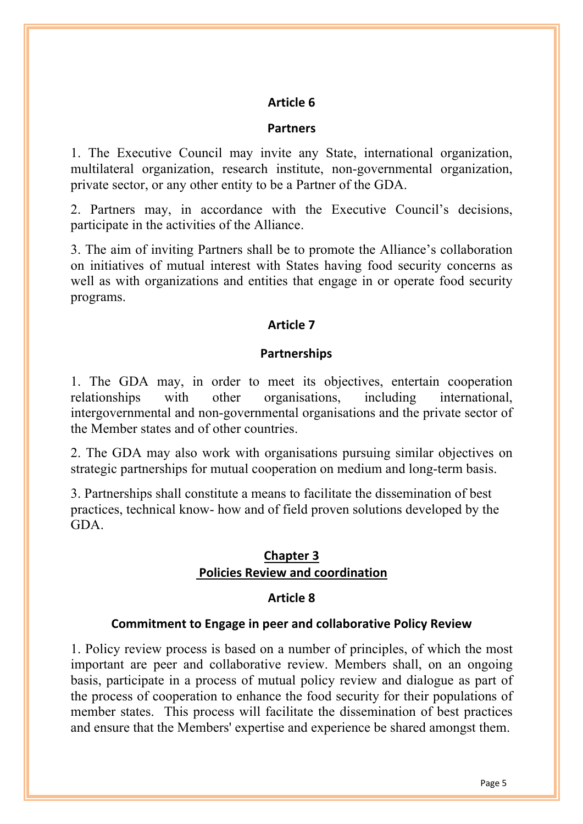#### **Partners**

1. The Executive Council may invite any State, international organization, multilateral organization, research institute, non-governmental organization, private sector, or any other entity to be a Partner of the GDA.

2. Partners may, in accordance with the Executive Council's decisions, participate in the activities of the Alliance.

3. The aim of inviting Partners shall be to promote the Alliance's collaboration on initiatives of mutual interest with States having food security concerns as well as with organizations and entities that engage in or operate food security programs.

#### **Article 7**

#### **Partnerships**

1. The GDA may, in order to meet its objectives, entertain cooperation relationships with other organisations, including international, intergovernmental and non-governmental organisations and the private sector of the Member states and of other countries.

2. The GDA may also work with organisations pursuing similar objectives on strategic partnerships for mutual cooperation on medium and long-term basis.

3. Partnerships shall constitute a means to facilitate the dissemination of best practices, technical know- how and of field proven solutions developed by the GDA.

#### **Chapter 3 Policies Review and coordination**

#### **Article 8**

#### **Commitment to Engage in peer and collaborative Policy Review**

1. Policy review process is based on a number of principles, of which the most important are peer and collaborative review. Members shall, on an ongoing basis, participate in a process of mutual policy review and dialogue as part of the process of cooperation to enhance the food security for their populations of member states. This process will facilitate the dissemination of best practices and ensure that the Members' expertise and experience be shared amongst them.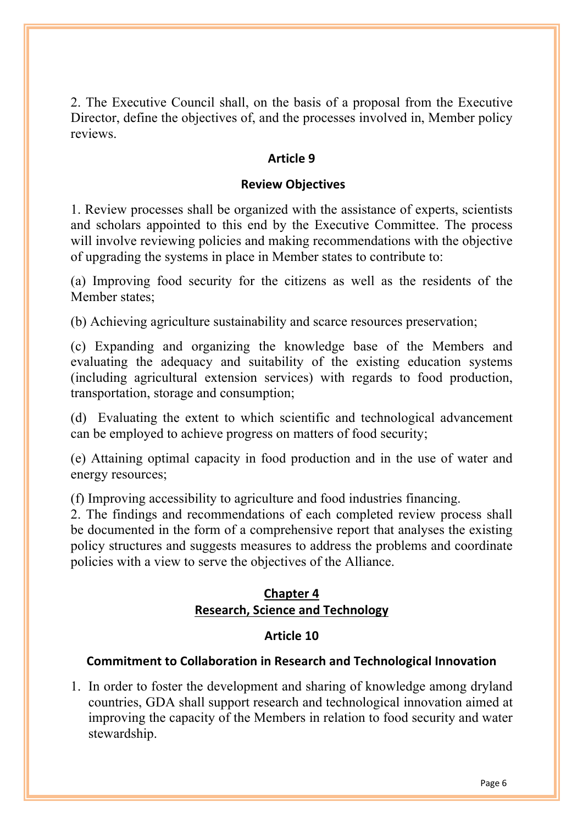2. The Executive Council shall, on the basis of a proposal from the Executive Director, define the objectives of, and the processes involved in, Member policy reviews.

## **Article 9**

## **Review Objectives**

1. Review processes shall be organized with the assistance of experts, scientists and scholars appointed to this end by the Executive Committee. The process will involve reviewing policies and making recommendations with the objective of upgrading the systems in place in Member states to contribute to:

(a) Improving food security for the citizens as well as the residents of the Member states;

(b) Achieving agriculture sustainability and scarce resources preservation;

(c) Expanding and organizing the knowledge base of the Members and evaluating the adequacy and suitability of the existing education systems (including agricultural extension services) with regards to food production, transportation, storage and consumption;

(d) Evaluating the extent to which scientific and technological advancement can be employed to achieve progress on matters of food security;

(e) Attaining optimal capacity in food production and in the use of water and energy resources;

(f) Improving accessibility to agriculture and food industries financing.

2. The findings and recommendations of each completed review process shall be documented in the form of a comprehensive report that analyses the existing policy structures and suggests measures to address the problems and coordinate policies with a view to serve the objectives of the Alliance.

## **Chapter 4 Research, Science and Technology**

## **Article 10**

## **Commitment to Collaboration in Research and Technological Innovation**

1. In order to foster the development and sharing of knowledge among dryland countries, GDA shall support research and technological innovation aimed at improving the capacity of the Members in relation to food security and water stewardship.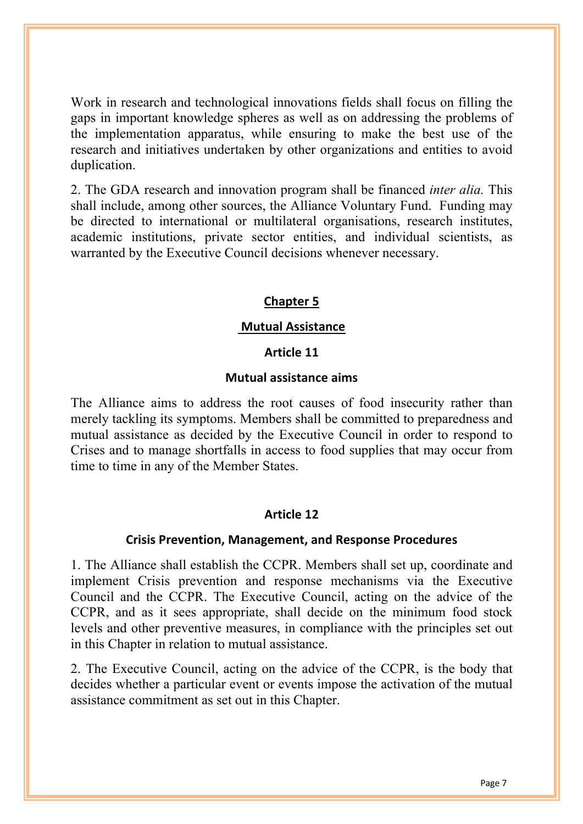Work in research and technological innovations fields shall focus on filling the gaps in important knowledge spheres as well as on addressing the problems of the implementation apparatus, while ensuring to make the best use of the research and initiatives undertaken by other organizations and entities to avoid duplication.

2. The GDA research and innovation program shall be financed *inter alia.* This shall include, among other sources, the Alliance Voluntary Fund. Funding may be directed to international or multilateral organisations, research institutes, academic institutions, private sector entities, and individual scientists, as warranted by the Executive Council decisions whenever necessary.

## **Chapter 5**

## **Mutual Assistance**

#### **Article 11**

#### **Mutual assistance aims**

The Alliance aims to address the root causes of food insecurity rather than merely tackling its symptoms. Members shall be committed to preparedness and mutual assistance as decided by the Executive Council in order to respond to Crises and to manage shortfalls in access to food supplies that may occur from time to time in any of the Member States.

## **Article 12**

#### **Crisis Prevention, Management, and Response Procedures**

1. The Alliance shall establish the CCPR. Members shall set up, coordinate and implement Crisis prevention and response mechanisms via the Executive Council and the CCPR. The Executive Council, acting on the advice of the CCPR, and as it sees appropriate, shall decide on the minimum food stock levels and other preventive measures, in compliance with the principles set out in this Chapter in relation to mutual assistance.

2. The Executive Council, acting on the advice of the CCPR, is the body that decides whether a particular event or events impose the activation of the mutual assistance commitment as set out in this Chapter.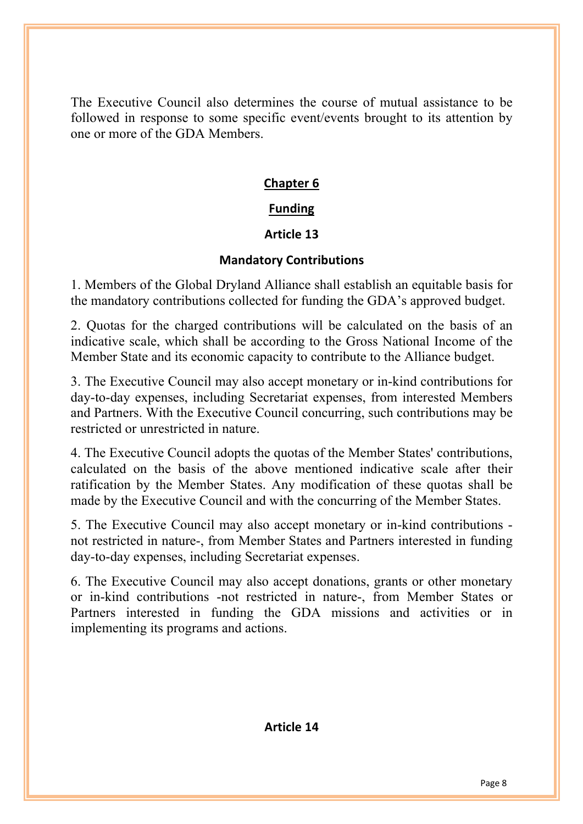The Executive Council also determines the course of mutual assistance to be followed in response to some specific event/events brought to its attention by one or more of the GDA Members.

## **Chapter 6**

## **Funding**

## **Article 13**

## **Mandatory Contributions**

1. Members of the Global Dryland Alliance shall establish an equitable basis for the mandatory contributions collected for funding the GDA's approved budget.

2. Quotas for the charged contributions will be calculated on the basis of an indicative scale, which shall be according to the Gross National Income of the Member State and its economic capacity to contribute to the Alliance budget.

3. The Executive Council may also accept monetary or in-kind contributions for day-to-day expenses, including Secretariat expenses, from interested Members and Partners. With the Executive Council concurring, such contributions may be restricted or unrestricted in nature.

4. The Executive Council adopts the quotas of the Member States' contributions, calculated on the basis of the above mentioned indicative scale after their ratification by the Member States. Any modification of these quotas shall be made by the Executive Council and with the concurring of the Member States.

5. The Executive Council may also accept monetary or in-kind contributions not restricted in nature-, from Member States and Partners interested in funding day-to-day expenses, including Secretariat expenses.

6. The Executive Council may also accept donations, grants or other monetary or in-kind contributions -not restricted in nature-, from Member States or Partners interested in funding the GDA missions and activities or in implementing its programs and actions.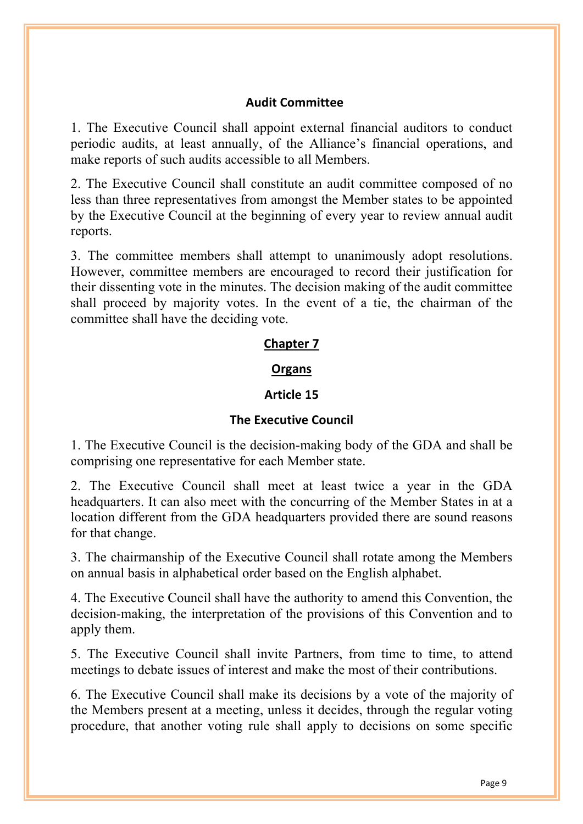### **Audit Committee**

1. The Executive Council shall appoint external financial auditors to conduct periodic audits, at least annually, of the Alliance's financial operations, and make reports of such audits accessible to all Members.

2. The Executive Council shall constitute an audit committee composed of no less than three representatives from amongst the Member states to be appointed by the Executive Council at the beginning of every year to review annual audit reports.

3. The committee members shall attempt to unanimously adopt resolutions. However, committee members are encouraged to record their justification for their dissenting vote in the minutes. The decision making of the audit committee shall proceed by majority votes. In the event of a tie, the chairman of the committee shall have the deciding vote.

#### **Chapter 7**

#### **Organs**

#### **Article 15**

#### **The Executive Council**

1. The Executive Council is the decision-making body of the GDA and shall be comprising one representative for each Member state.

2. The Executive Council shall meet at least twice a year in the GDA headquarters. It can also meet with the concurring of the Member States in at a location different from the GDA headquarters provided there are sound reasons for that change.

3. The chairmanship of the Executive Council shall rotate among the Members on annual basis in alphabetical order based on the English alphabet.

4. The Executive Council shall have the authority to amend this Convention, the decision-making, the interpretation of the provisions of this Convention and to apply them.

5. The Executive Council shall invite Partners, from time to time, to attend meetings to debate issues of interest and make the most of their contributions.

6. The Executive Council shall make its decisions by a vote of the majority of the Members present at a meeting, unless it decides, through the regular voting procedure, that another voting rule shall apply to decisions on some specific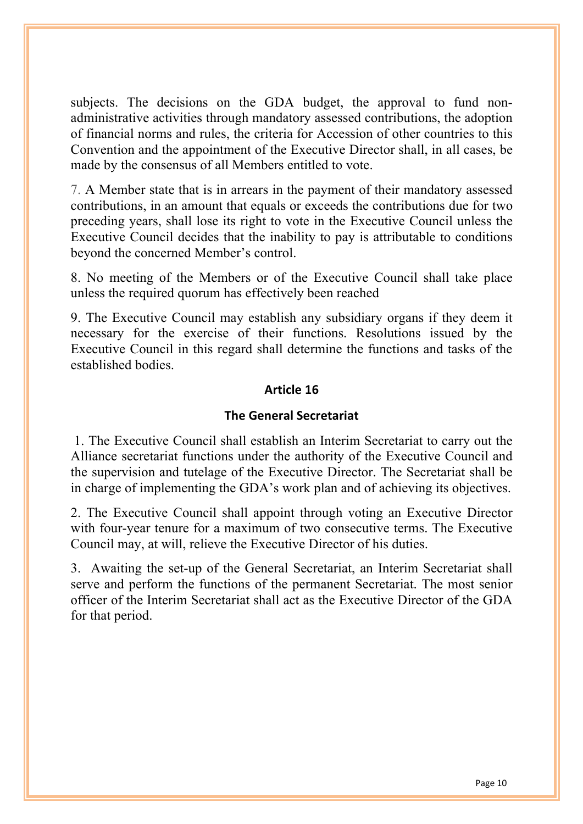subjects. The decisions on the GDA budget, the approval to fund nonadministrative activities through mandatory assessed contributions, the adoption of financial norms and rules, the criteria for Accession of other countries to this Convention and the appointment of the Executive Director shall, in all cases, be made by the consensus of all Members entitled to vote.

7. A Member state that is in arrears in the payment of their mandatory assessed contributions, in an amount that equals or exceeds the contributions due for two preceding years, shall lose its right to vote in the Executive Council unless the Executive Council decides that the inability to pay is attributable to conditions beyond the concerned Member's control.

8. No meeting of the Members or of the Executive Council shall take place unless the required quorum has effectively been reached

9. The Executive Council may establish any subsidiary organs if they deem it necessary for the exercise of their functions. Resolutions issued by the Executive Council in this regard shall determine the functions and tasks of the established bodies.

## **Article 16**

## **The General Secretariat**

1. The Executive Council shall establish an Interim Secretariat to carry out the Alliance secretariat functions under the authority of the Executive Council and the supervision and tutelage of the Executive Director. The Secretariat shall be in charge of implementing the GDA's work plan and of achieving its objectives.

2. The Executive Council shall appoint through voting an Executive Director with four-year tenure for a maximum of two consecutive terms. The Executive Council may, at will, relieve the Executive Director of his duties.

3. Awaiting the set-up of the General Secretariat, an Interim Secretariat shall serve and perform the functions of the permanent Secretariat. The most senior officer of the Interim Secretariat shall act as the Executive Director of the GDA for that period.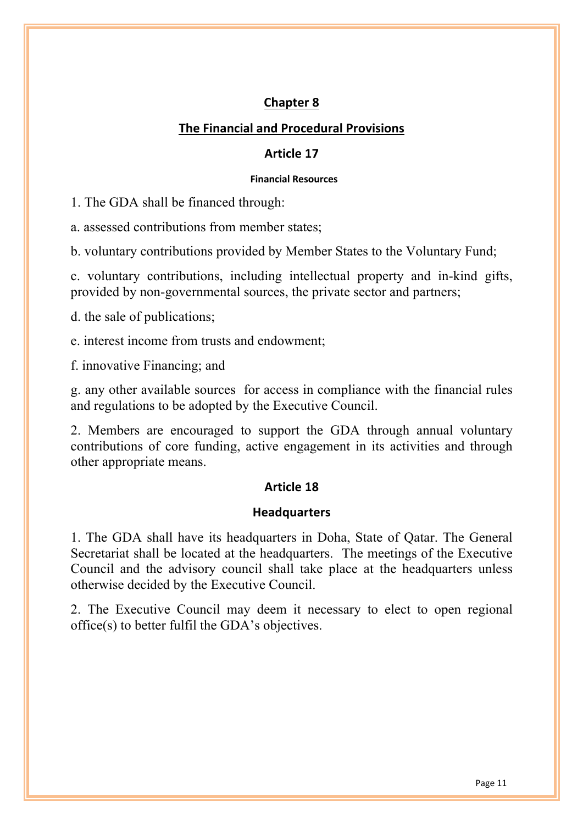## **Chapter 8**

## **The Financial and Procedural Provisions**

### **Article 17**

#### **Financial Resources**

1. The GDA shall be financed through:

a. assessed contributions from member states;

b. voluntary contributions provided by Member States to the Voluntary Fund;

c. voluntary contributions, including intellectual property and in-kind gifts, provided by non-governmental sources, the private sector and partners;

d. the sale of publications;

e. interest income from trusts and endowment;

f. innovative Financing; and

g. any other available sources for access in compliance with the financial rules and regulations to be adopted by the Executive Council.

2. Members are encouraged to support the GDA through annual voluntary contributions of core funding, active engagement in its activities and through other appropriate means.

## **Article 18**

## **Headquarters**

1. The GDA shall have its headquarters in Doha, State of Qatar. The General Secretariat shall be located at the headquarters. The meetings of the Executive Council and the advisory council shall take place at the headquarters unless otherwise decided by the Executive Council.

2. The Executive Council may deem it necessary to elect to open regional office(s) to better fulfil the GDA's objectives.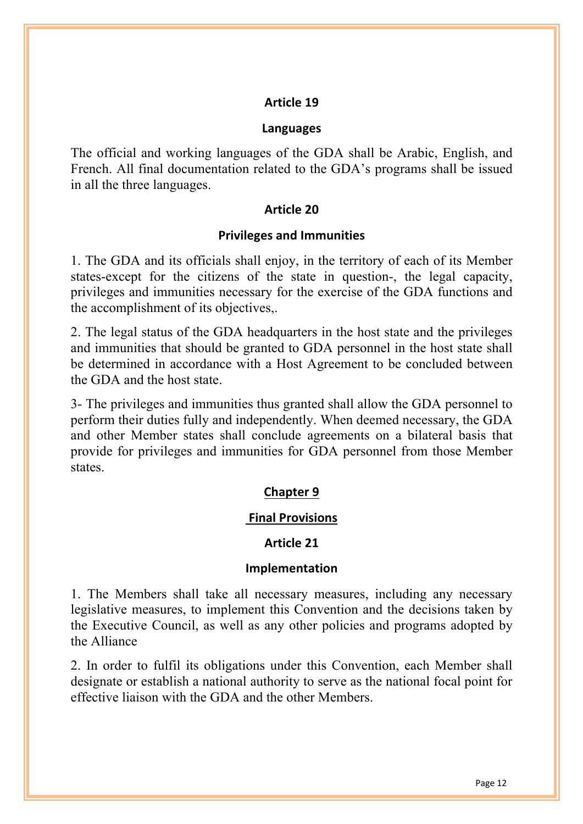#### **Languages**

The official and working languages of the GDA shall be Arabic, English, and French. All final documentation related to the GDA's programs shall be issued in all the three languages.

#### **Article 20**

#### **Privileges and Immunities**

1. The GDA and its officials shall enjoy, in the territory of each of its Member states-except for the citizens of the state in question-, the legal capacity, privileges and immunities necessary for the exercise of the GDA functions and the accomplishment of its objectives,.

2. The legal status of the GDA headquarters in the host state and the privileges and immunities that should be granted to GDA personnel in the host state shall be determined in accordance with a Host Agreement to be concluded between the GDA and the host state.

3- The privileges and immunities thus granted shall allow the GDA personnel to perform their duties fully and independently. When deemed necessary, the GDA and other Member states shall conclude agreements on a bilateral basis that provide for privileges and immunities for GDA personnel from those Member states.

#### **Chapter 9**

#### **Final Provisions**

#### **Article 21**

#### **Implementation**

1. The Members shall take all necessary measures, including any necessary legislative measures, to implement this Convention and the decisions taken by the Executive Council, as well as any other policies and programs adopted by the Alliance

2. In order to fulfil its obligations under this Convention, each Member shall designate or establish a national authority to serve as the national focal point for effective liaison with the GDA and the other Members.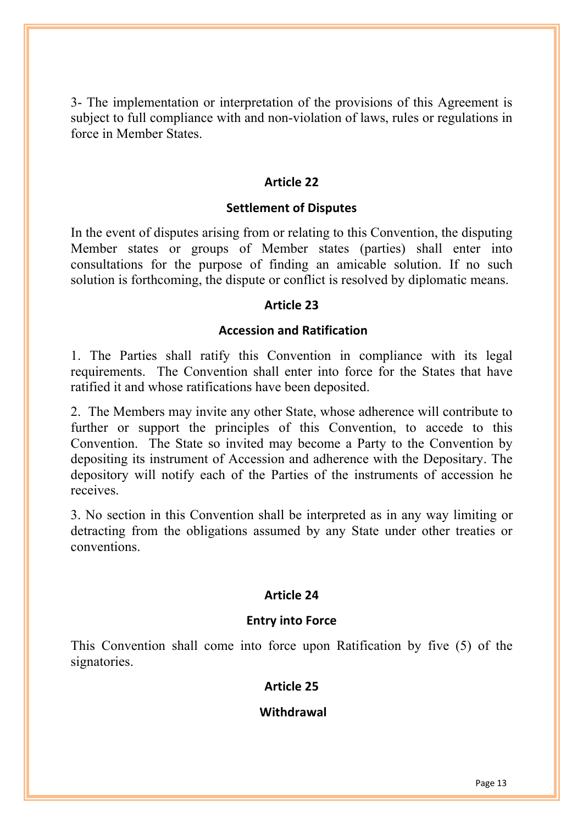3- The implementation or interpretation of the provisions of this Agreement is subject to full compliance with and non-violation of laws, rules or regulations in force in Member States.

## **Article 22**

#### **Settlement of Disputes**

In the event of disputes arising from or relating to this Convention, the disputing Member states or groups of Member states (parties) shall enter into consultations for the purpose of finding an amicable solution. If no such solution is forthcoming, the dispute or conflict is resolved by diplomatic means.

#### **Article 23**

#### **Accession and Ratification**

1. The Parties shall ratify this Convention in compliance with its legal requirements. The Convention shall enter into force for the States that have ratified it and whose ratifications have been deposited.

2. The Members may invite any other State, whose adherence will contribute to further or support the principles of this Convention, to accede to this Convention. The State so invited may become a Party to the Convention by depositing its instrument of Accession and adherence with the Depositary. The depository will notify each of the Parties of the instruments of accession he receives.

3. No section in this Convention shall be interpreted as in any way limiting or detracting from the obligations assumed by any State under other treaties or conventions.

## **Article 24**

## **Entry into Force**

This Convention shall come into force upon Ratification by five (5) of the signatories.

### **Article 25**

## **Withdrawal**